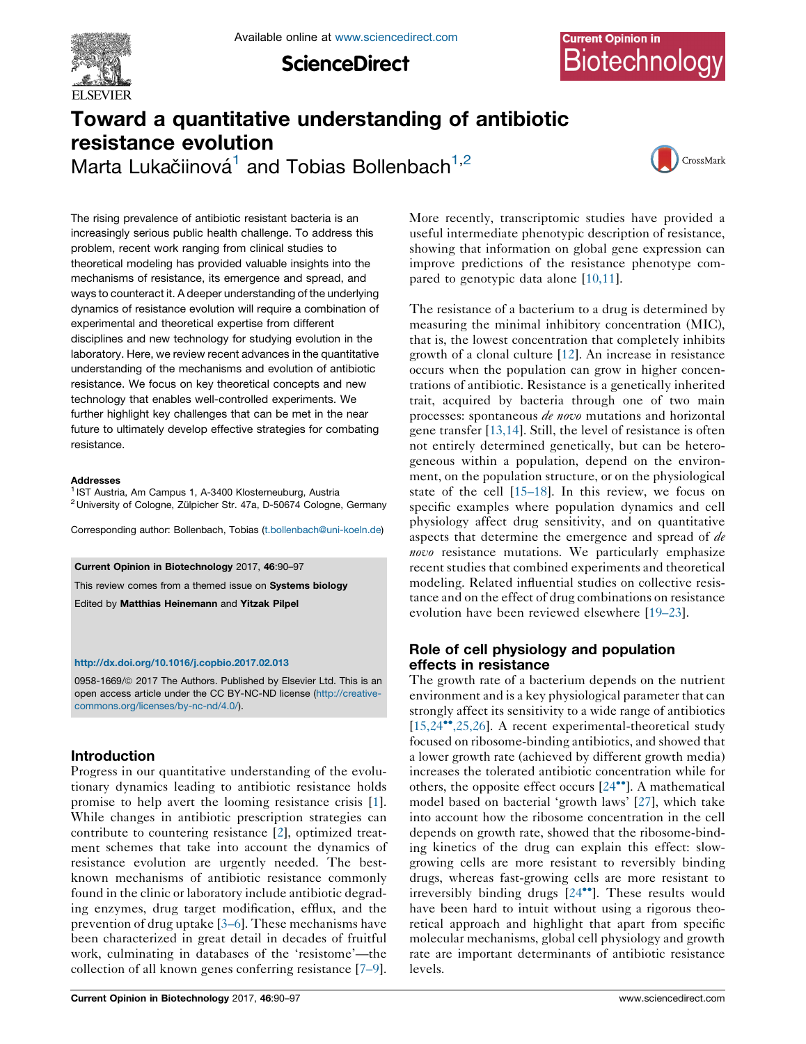

**ScienceDirect** 

# Toward a quantitative understanding of antibiotic resistance evolution

Marta Lukačiinová $^1$  and Tobias Bollenbach $^{1,2}$ 



The rising prevalence of antibiotic resistant bacteria is an increasingly serious public health challenge. To address this problem, recent work ranging from clinical studies to theoretical modeling has provided valuable insights into the mechanisms of resistance, its emergence and spread, and ways to counteract it. A deeper understanding of the underlying dynamics of resistance evolution will require a combination of experimental and theoretical expertise from different disciplines and new technology for studying evolution in the laboratory. Here, we review recent advances in the quantitative understanding of the mechanisms and evolution of antibiotic resistance. We focus on key theoretical concepts and new technology that enables well-controlled experiments. We further highlight key challenges that can be met in the near future to ultimately develop effective strategies for combating resistance.

#### Addresses

<sup>1</sup> IST Austria, Am Campus 1, A-3400 Klosterneuburg, Austria <sup>2</sup> University of Cologne, Zülpicher Str. 47a, D-50674 Cologne, Germany

Corresponding author: Bollenbach, Tobias [\(t.bollenbach@uni-koeln.de\)](mailto:t.bollenbach@uni-koeln.de)

Current Opinion in Biotechnology 2017, 46:90–97

This review comes from a themed issue on Systems biology

Edited by Matthias Heinemann and Yitzak Pilpel

#### <http://dx.doi.org/10.1016/j.copbio.2017.02.013>

0958-1669/@ 2017 The Authors. Published by Elsevier Ltd. This is an open access article under the CC BY-NC-ND license [\(http://creative](http://creativecommons.org/licenses/by-nc-nd/4.0/)[commons.org/licenses/by-nc-nd/4.0/](http://creativecommons.org/licenses/by-nc-nd/4.0/)).

## Introduction

Progress in our quantitative understanding of the evolutionary dynamics leading to antibiotic resistance holds promise to help avert the looming resistance crisis [\[1](#page-5-0)]. While changes in antibiotic prescription strategies can contribute to countering resistance [[2\]](#page-5-0), optimized treatment schemes that take into account the dynamics of resistance evolution are urgently needed. The bestknown mechanisms of antibiotic resistance commonly found in the clinic or laboratory include antibiotic degrading enzymes, drug target modification, efflux, and the prevention of drug uptake [\[3–6](#page-5-0)]. These mechanisms have been characterized in great detail in decades of fruitful work, culminating in databases of the 'resistome'—the collection of all known genes conferring resistance [\[7–9](#page-5-0)].

More recently, transcriptomic studies have provided a useful intermediate phenotypic description of resistance, showing that information on global gene expression can improve predictions of the resistance phenotype compared to genotypic data alone [\[10,11\]](#page-5-0).

The resistance of a bacterium to a drug is determined by measuring the minimal inhibitory concentration (MIC), that is, the lowest concentration that completely inhibits growth of a clonal culture [[12\]](#page-5-0). An increase in resistance occurs when the population can grow in higher concentrations of antibiotic. Resistance is a genetically inherited trait, acquired by bacteria through one of two main processes: spontaneous de novo mutations and horizontal gene transfer [\[13,14\]](#page-6-0). Still, the level of resistance is often not entirely determined genetically, but can be heterogeneous within a population, depend on the environment, on the population structure, or on the physiological state of the cell [[15–18\]](#page-6-0). In this review, we focus on specific examples where population dynamics and cell physiology affect drug sensitivity, and on quantitative aspects that determine the emergence and spread of de novo resistance mutations. We particularly emphasize recent studies that combined experiments and theoretical modeling. Related influential studies on collective resistance and on the effect of drug combinations on resistance evolution have been reviewed elsewhere [\[19–23](#page-6-0)].

# Role of cell physiology and population effects in resistance

The growth rate of a bacterium depends on the nutrient environment and is a key physiological parameter that can strongly affect its sensitivity to a wide range of antibiotics  $[15,24^{\bullet\bullet},25,26]$  $[15,24^{\bullet\bullet},25,26]$  $[15,24^{\bullet\bullet},25,26]$ . A recent experimental-theoretical study focused on ribosome-binding antibiotics, and showed that a lower growth rate (achieved by different growth media) increases the tolerated antibiotic concentration while for others, the opposite effect occurs  $[24\bullet]$ . A [mathematical](#page-6-0) model based on bacterial 'growth laws' [\[27](#page-6-0)], which take into account how the ribosome concentration in the cell depends on growth rate, showed that the ribosome-binding kinetics of the drug can explain this effect: slowgrowing cells are more resistant to reversibly binding drugs, whereas fast-growing cells are more resistant to irreversibly binding drugs  $[24^{\bullet\bullet}]$ . These [results](#page-6-0) would have been hard to intuit without using a rigorous theoretical approach and highlight that apart from specific molecular mechanisms, global cell physiology and growth rate are important determinants of antibiotic resistance levels.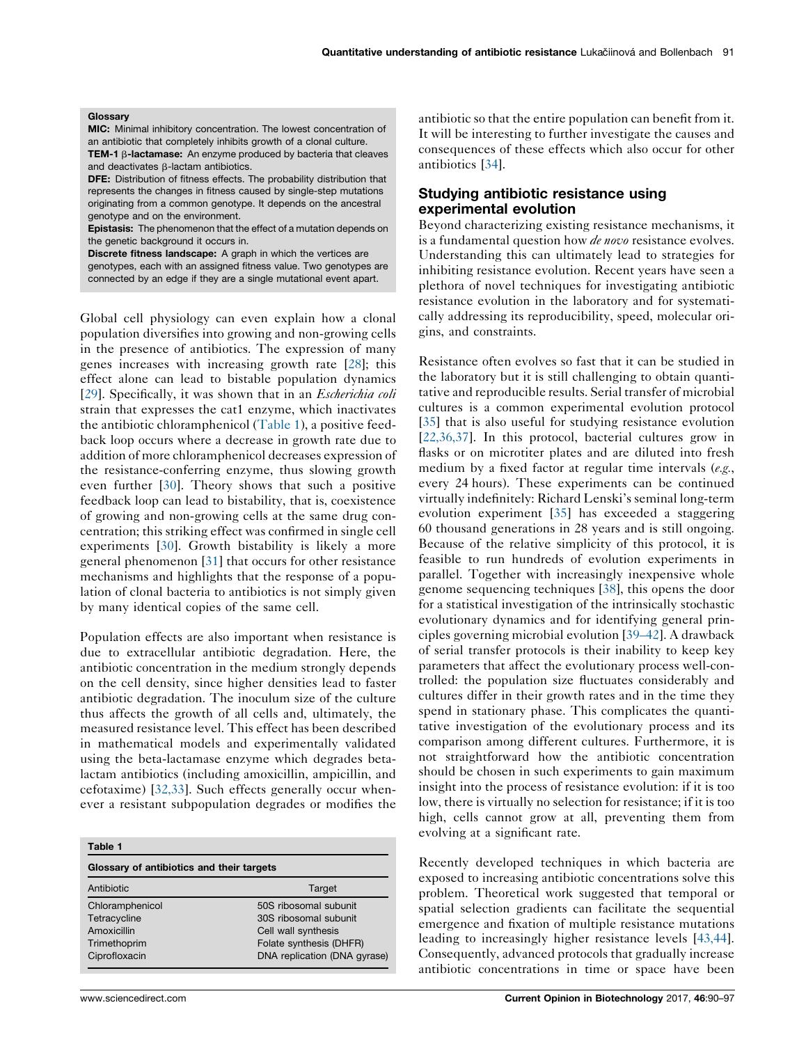#### <span id="page-1-0"></span>Glossary

MIC: Minimal inhibitory concentration. The lowest concentration of an antibiotic that completely inhibits growth of a clonal culture. TEM-1 ß-lactamase: An enzyme produced by bacteria that cleaves

and deactivates **B-lactam** antibiotics. DFE: Distribution of fitness effects. The probability distribution that represents the changes in fitness caused by single-step mutations originating from a common genotype. It depends on the ancestral genotype and on the environment.

Epistasis: The phenomenon that the effect of a mutation depends on the genetic background it occurs in.

Discrete fitness landscape: A graph in which the vertices are genotypes, each with an assigned fitness value. Two genotypes are connected by an edge if they are a single mutational event apart.

Global cell physiology can even explain how a clonal population diversifies into growing and non-growing cells in the presence of antibiotics. The expression of many genes increases with increasing growth rate [[28\]](#page-6-0); this effect alone can lead to bistable population dynamics [\[29](#page-6-0)]. Specifically, it was shown that in an *Escherichia coli* strain that expresses the cat1 enzyme, which inactivates the antibiotic chloramphenicol (Table 1), a positive feedback loop occurs where a decrease in growth rate due to addition of more chloramphenicol decreases expression of the resistance-conferring enzyme, thus slowing growth even further [\[30](#page-6-0)]. Theory shows that such a positive feedback loop can lead to bistability, that is, coexistence of growing and non-growing cells at the same drug concentration; this striking effect was confirmed in single cell experiments [\[30](#page-6-0)]. Growth bistability is likely a more general phenomenon [\[31](#page-6-0)] that occurs for other resistance mechanisms and highlights that the response of a population of clonal bacteria to antibiotics is not simply given by many identical copies of the same cell.

Population effects are also important when resistance is due to extracellular antibiotic degradation. Here, the antibiotic concentration in the medium strongly depends on the cell density, since higher densities lead to faster antibiotic degradation. The inoculum size of the culture thus affects the growth of all cells and, ultimately, the measured resistance level. This effect has been described in mathematical models and experimentally validated using the beta-lactamase enzyme which degrades betalactam antibiotics (including amoxicillin, ampicillin, and cefotaxime) [[32,33](#page-6-0)]. Such effects generally occur whenever a resistant subpopulation degrades or modifies the

| Table 1<br>Glossary of antibiotics and their targets |                              |
|------------------------------------------------------|------------------------------|
|                                                      |                              |
| Chloramphenicol                                      | 50S ribosomal subunit        |
| Tetracycline                                         | 30S ribosomal subunit        |
| Amoxicillin                                          | Cell wall synthesis          |
| Trimethoprim                                         | Folate synthesis (DHFR)      |
| Ciprofloxacin                                        | DNA replication (DNA gyrase) |

antibiotic so that the entire population can benefit from it. It will be interesting to further investigate the causes and consequences of these effects which also occur for other antibiotics [[34\]](#page-6-0).

## Studying antibiotic resistance using experimental evolution

Beyond characterizing existing resistance mechanisms, it is a fundamental question how *de novo* resistance evolves. Understanding this can ultimately lead to strategies for inhibiting resistance evolution. Recent years have seen a plethora of novel techniques for investigating antibiotic resistance evolution in the laboratory and for systematically addressing its reproducibility, speed, molecular origins, and constraints.

Resistance often evolves so fast that it can be studied in the laboratory but it is still challenging to obtain quantitative and reproducible results. Serial transfer of microbial cultures is a common experimental evolution protocol [[35](#page-6-0)] that is also useful for studying resistance evolution [[22,36,37](#page-6-0)]. In this protocol, bacterial cultures grow in flasks or on microtiter plates and are diluted into fresh medium by a fixed factor at regular time intervals (e.g., every 24 hours). These experiments can be continued virtually indefinitely: Richard Lenski's seminal long-term evolution experiment [\[35](#page-6-0)] has exceeded a staggering 60 thousand generations in 28 years and is still ongoing. Because of the relative simplicity of this protocol, it is feasible to run hundreds of evolution experiments in parallel. Together with increasingly inexpensive whole genome sequencing techniques [\[38](#page-6-0)], this opens the door for a statistical investigation of the intrinsically stochastic evolutionary dynamics and for identifying general principles governing microbial evolution [\[39–42](#page-6-0)]. A drawback of serial transfer protocols is their inability to keep key parameters that affect the evolutionary process well-controlled: the population size fluctuates considerably and cultures differ in their growth rates and in the time they spend in stationary phase. This complicates the quantitative investigation of the evolutionary process and its comparison among different cultures. Furthermore, it is not straightforward how the antibiotic concentration should be chosen in such experiments to gain maximum insight into the process of resistance evolution: if it is too low, there is virtually no selection for resistance; if it is too high, cells cannot grow at all, preventing them from evolving at a significant rate.

Recently developed techniques in which bacteria are exposed to increasing antibiotic concentrations solve this problem. Theoretical work suggested that temporal or spatial selection gradients can facilitate the sequential emergence and fixation of multiple resistance mutations leading to increasingly higher resistance levels [\[43,44\]](#page-6-0). Consequently, advanced protocols that gradually increase antibiotic concentrations in time or space have been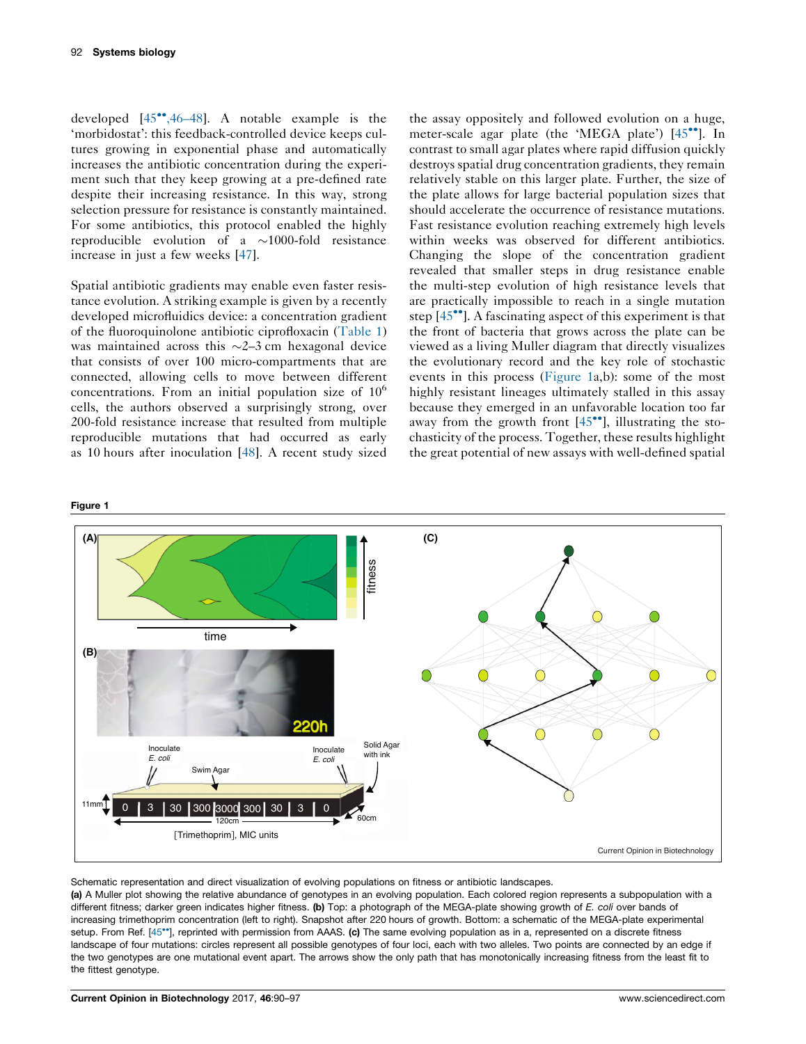<span id="page-2-0"></span>developed  $[45^{\bullet\bullet}, 46-48]$ . A notable example is the 'morbidostat': this feedback-controlled device keeps cultures growing in exponential phase and automatically increases the antibiotic concentration during the experiment such that they keep growing at a pre-defined rate despite their increasing resistance. In this way, strong selection pressure for resistance is constantly maintained. For some antibiotics, this protocol enabled the highly reproducible evolution of a  $\sim$ 1000-fold resistance increase in just a few weeks [[47\]](#page-6-0).

Spatial antibiotic gradients may enable even faster resistance evolution. A striking example is given by a recently developed microfluidics device: a concentration gradient of the fluoroquinolone antibiotic ciprofloxacin ([Table](#page-1-0) 1) was maintained across this  $\sim$ 2–3 cm hexagonal device that consists of over 100 micro-compartments that are connected, allowing cells to move between different concentrations. From an initial population size of  $10<sup>6</sup>$ cells, the authors observed a surprisingly strong, over 200-fold resistance increase that resulted from multiple reproducible mutations that had occurred as early as 10 hours after inoculation [[48](#page-6-0)]. A recent study sized the assay oppositely and followed evolution on a huge, meter-scale agar plate (the 'MEGA plate')  $[45\degree]$  $[45\degree]$ . In contrast to small agar plates where rapid diffusion quickly destroys spatial drug concentration gradients, they remain relatively stable on this larger plate. Further, the size of the plate allows for large bacterial population sizes that should accelerate the occurrence of resistance mutations. Fast resistance evolution reaching extremely high levels within weeks was observed for different antibiotics. Changing the slope of the concentration gradient revealed that smaller steps in drug resistance enable the multi-step evolution of high resistance levels that are practically impossible to reach in a single mutation step  $[45\degree]$ . A fascinating aspect of this [experiment](#page-6-0) is that the front of bacteria that grows across the plate can be viewed as a living Muller diagram that directly visualizes the evolutionary record and the key role of stochastic events in this process (Figure 1a,b): some of the most highly resistant lineages ultimately stalled in this assay because they emerged in an unfavorable location too far away from the growth front  $[45\degree\degree]$ , [illustrating](#page-6-0) the stochasticity of the process. Together, these results highlight the great potential of new assays with well-defined spatial

### Figure 1



Schematic representation and direct visualization of evolving populations on fitness or antibiotic landscapes.

(a) A Muller plot showing the relative abundance of genotypes in an evolving population. Each colored region represents a subpopulation with a different fitness; darker green indicates higher fitness. (b) Top: a photograph of the MEGA-plate showing growth of E. coli over bands of increasing trimethoprim concentration (left to right). Snapshot after 220 hours of growth. Bottom: a schematic of the MEGA-plate experimental setup. From Ref. [45\*\*], reprinted with permission from AAAS. (c) The same evolving population as in a, [represented](#page-6-0) on a discrete fitness landscape of four mutations: circles represent all possible genotypes of four loci, each with two alleles. Two points are connected by an edge if the two genotypes are one mutational event apart. The arrows show the only path that has monotonically increasing fitness from the least fit to the fittest genotype.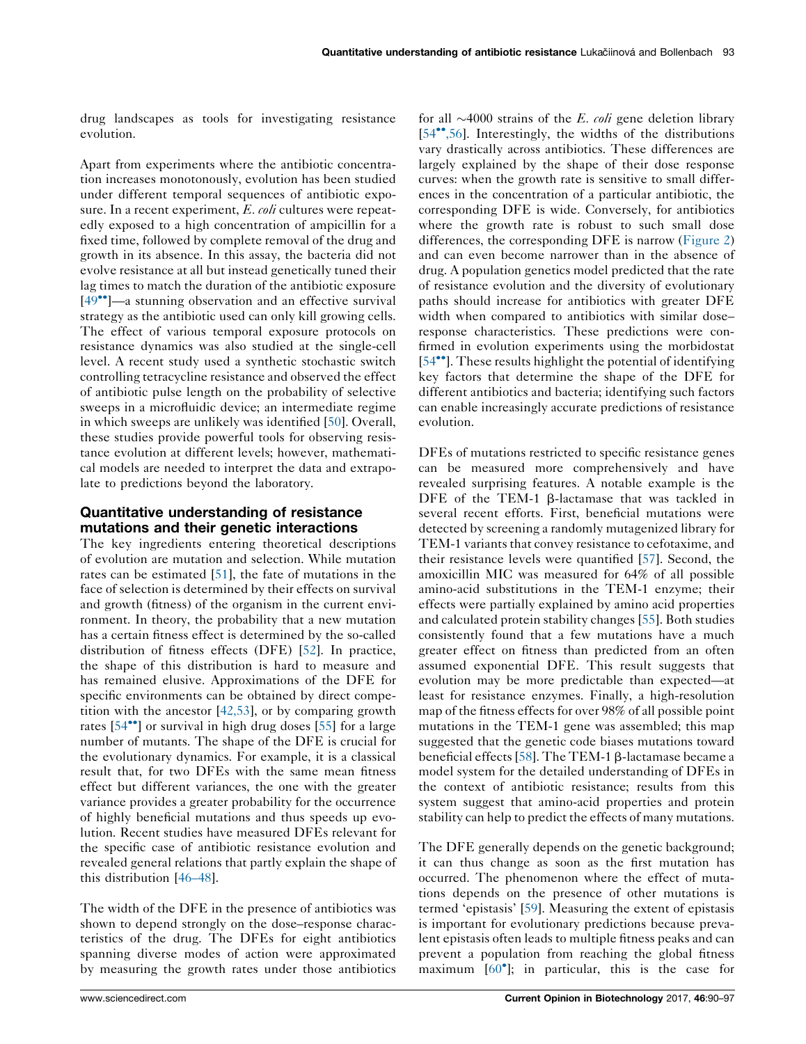drug landscapes as tools for investigating resistance evolution.

Apart from experiments where the antibiotic concentration increases monotonously, evolution has been studied under different temporal sequences of antibiotic exposure. In a recent experiment, E. coli cultures were repeatedly exposed to a high concentration of ampicillin for a fixed time, followed by complete removal of the drug and growth in its absence. In this assay, the bacteria did not evolve resistance at all but instead genetically tuned their lag times to match the duration of the antibiotic exposure  $[49$ <sup> $\bullet$ </sup>]—a stunning [observation](#page-6-0) and an effective survival strategy as the antibiotic used can only kill growing cells. The effect of various temporal exposure protocols on resistance dynamics was also studied at the single-cell level. A recent study used a synthetic stochastic switch controlling tetracycline resistance and observed the effect of antibiotic pulse length on the probability of selective sweeps in a microfluidic device; an intermediate regime in which sweeps are unlikely was identified [\[50](#page-6-0)]. Overall, these studies provide powerful tools for observing resistance evolution at different levels; however, mathematical models are needed to interpret the data and extrapolate to predictions beyond the laboratory.

## Quantitative understanding of resistance mutations and their genetic interactions

The key ingredients entering theoretical descriptions of evolution are mutation and selection. While mutation rates can be estimated [[51\]](#page-7-0), the fate of mutations in the face of selection is determined by their effects on survival and growth (fitness) of the organism in the current environment. In theory, the probability that a new mutation has a certain fitness effect is determined by the so-called distribution of fitness effects (DFE) [\[52](#page-7-0)]. In practice, the shape of this distribution is hard to measure and has remained elusive. Approximations of the DFE for specific environments can be obtained by direct competition with the ancestor [\[42,53\]](#page-6-0), or by comparing growth rates  $[54^{\bullet\bullet}]$  or [survival](#page-7-0) in high drug doses  $[55]$  $[55]$  for a large number of mutants. The shape of the DFE is crucial for the evolutionary dynamics. For example, it is a classical result that, for two DFEs with the same mean fitness effect but different variances, the one with the greater variance provides a greater probability for the occurrence of highly beneficial mutations and thus speeds up evolution. Recent studies have measured DFEs relevant for the specific case of antibiotic resistance evolution and revealed general relations that partly explain the shape of this distribution [[46–48\]](#page-6-0).

The width of the DFE in the presence of antibiotics was shown to depend strongly on the dose–response characteristics of the drug. The DFEs for eight antibiotics spanning diverse modes of action were approximated by measuring the growth rates under those antibiotics

for all  $\sim$ 4000 strains of the E. coli gene deletion library  $[54\degree, 56]$ . Interestingly, the widths of the distributions vary drastically across antibiotics. These differences are largely explained by the shape of their dose response curves: when the growth rate is sensitive to small differences in the concentration of a particular antibiotic, the corresponding DFE is wide. Conversely, for antibiotics where the growth rate is robust to such small dose differences, the corresponding DFE is narrow [\(Figure](#page-4-0) 2) and can even become narrower than in the absence of drug. A population genetics model predicted that the rate of resistance evolution and the diversity of evolutionary paths should increase for antibiotics with greater DFE width when compared to antibiotics with similar dose– response characteristics. These predictions were confirmed in evolution experiments using the morbidostat [54<sup>••</sup>]. These results highlight the potential of [identifying](#page-7-0) key factors that determine the shape of the DFE for different antibiotics and bacteria; identifying such factors can enable increasingly accurate predictions of resistance evolution.

DFEs of mutations restricted to specific resistance genes can be measured more comprehensively and have revealed surprising features. A notable example is the  $DFE$  of the TEM-1  $\beta$ -lactamase that was tackled in several recent efforts. First, beneficial mutations were detected by screening a randomly mutagenized library for TEM-1 variants that convey resistance to cefotaxime, and their resistance levels were quantified [\[57](#page-7-0)]. Second, the amoxicillin MIC was measured for 64% of all possible amino-acid substitutions in the TEM-1 enzyme; their effects were partially explained by amino acid properties and calculated protein stability changes [\[55](#page-7-0)]. Both studies consistently found that a few mutations have a much greater effect on fitness than predicted from an often assumed exponential DFE. This result suggests that evolution may be more predictable than expected—at least for resistance enzymes. Finally, a high-resolution map of the fitness effects for over 98% of all possible point mutations in the TEM-1 gene was assembled; this map suggested that the genetic code biases mutations toward beneficial effects [[58\]](#page-7-0). The TEM-1  $\beta$ -lactamase became a model system for the detailed understanding of DFEs in the context of antibiotic resistance; results from this system suggest that amino-acid properties and protein stability can help to predict the effects of many mutations.

The DFE generally depends on the genetic background; it can thus change as soon as the first mutation has occurred. The phenomenon where the effect of mutations depends on the presence of other mutations is termed 'epistasis' [[59\]](#page-7-0). Measuring the extent of epistasis is important for evolutionary predictions because prevalent epistasis often leads to multiple fitness peaks and can prevent a population from reaching the global fitness maximum [60 ]; in [particular,](#page-7-0) this is the case for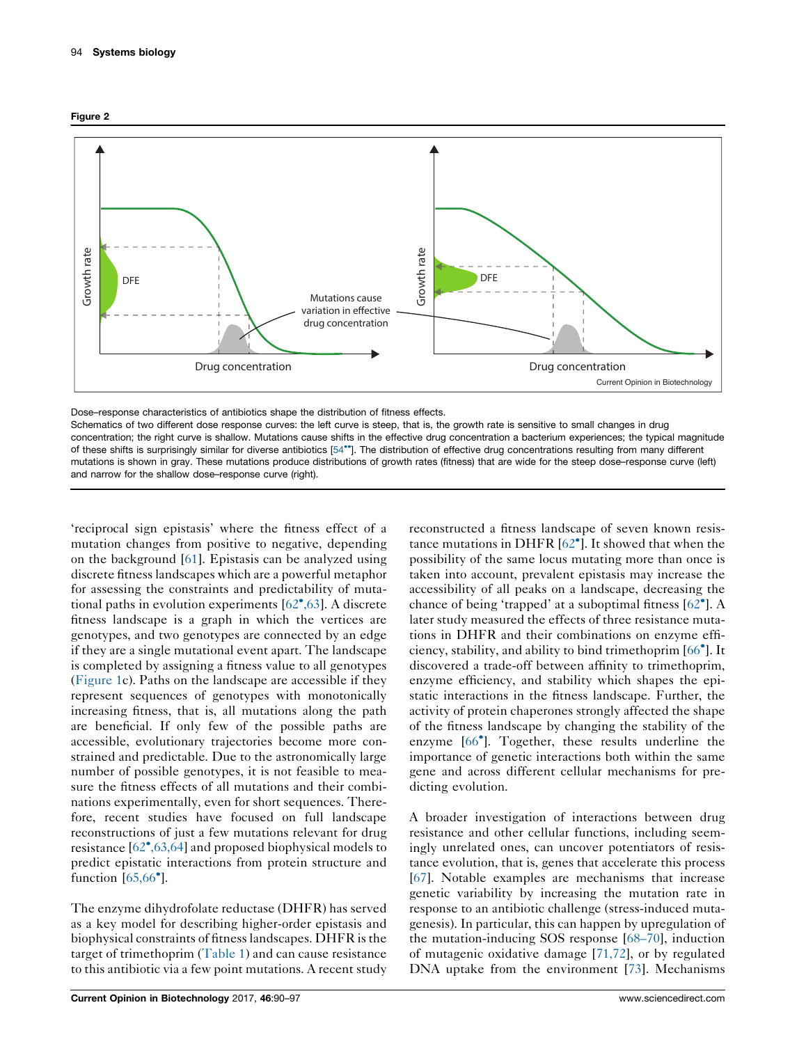<span id="page-4-0"></span>



Dose–response characteristics of antibiotics shape the distribution of fitness effects.

Schematics of two different dose response curves: the left curve is steep, that is, the growth rate is sensitive to small changes in drug concentration; the right curve is shallow. Mutations cause shifts in the effective drug concentration a bacterium experiences; the typical magnitude of these shifts is surprisingly similar for diverse antibiotics [54\*]. The distribution of effective drug [concentrations](#page-7-0) resulting from many different mutations is shown in gray. These mutations produce distributions of growth rates (fitness) that are wide for the steep dose–response curve (left) and narrow for the shallow dose–response curve (right).

'reciprocal sign epistasis' where the fitness effect of a mutation changes from positive to negative, depending on the background [\[61](#page-7-0)]. Epistasis can be analyzed using discrete fitness landscapes which are a powerful metaphor for assessing the constraints and predictability of mutational paths in evolution experiments [62 [,63](#page-7-0)]. A discrete fitness landscape is a graph in which the vertices are genotypes, and two genotypes are connected by an edge if they are a single mutational event apart. The landscape is completed by assigning a fitness value to all genotypes [\(Figure](#page-2-0) 1c). Paths on the landscape are accessible if they represent sequences of genotypes with monotonically increasing fitness, that is, all mutations along the path are beneficial. If only few of the possible paths are accessible, evolutionary trajectories become more constrained and predictable. Due to the astronomically large number of possible genotypes, it is not feasible to measure the fitness effects of all mutations and their combinations experimentally, even for short sequences. Therefore, recent studies have focused on full landscape reconstructions of just a few mutations relevant for drug resistance [62 [,63,64\]](#page-7-0) and proposed biophysical models to predict epistatic interactions from protein structure and function  $[65,66^\circ]$  $[65,66^\circ]$  $[65,66^\circ]$ .

The enzyme dihydrofolate reductase (DHFR) has served as a key model for describing higher-order epistasis and biophysical constraints of fitnesslandscapes. DHFR isthe target of trimethoprim ([Table](#page-1-0) 1) and can cause resistance to this antibiotic via a few point mutations. A recent study

reconstructed a fitness landscape of seven known resistance mutations in DHFR [62 ]. It [showed](#page-7-0) that when the possibility of the same locus mutating more than once is taken into account, prevalent epistasis may increase the accessibility of all peaks on a landscape, decreasing the chance of being 'trapped' at a suboptimal fitness [\[62](#page-7-0) ]. A later study measured the effects of three resistance mutations in DHFR and their combinations on enzyme efficiency, stability, and ability to bind trimethoprim [\[66](#page-7-0) ]. It discovered a trade-off between affinity to trimethoprim, enzyme efficiency, and stability which shapes the epistatic interactions in the fitness landscape. Further, the activity of protein chaperones strongly affected the shape of the fitness landscape by changing the stability of the enzyme [66 ]. [Together,](#page-7-0) these results underline the importance of genetic interactions both within the same gene and across different cellular mechanisms for predicting evolution.

A broader investigation of interactions between drug resistance and other cellular functions, including seemingly unrelated ones, can uncover potentiators of resistance evolution, that is, genes that accelerate this process [\[67](#page-7-0)]. Notable examples are mechanisms that increase genetic variability by increasing the mutation rate in response to an antibiotic challenge (stress-induced mutagenesis). In particular, this can happen by upregulation of the mutation-inducing SOS response [[68–70\]](#page-7-0), induction of mutagenic oxidative damage [\[71,72\]](#page-7-0), or by regulated DNA uptake from the environment [[73\]](#page-7-0). Mechanisms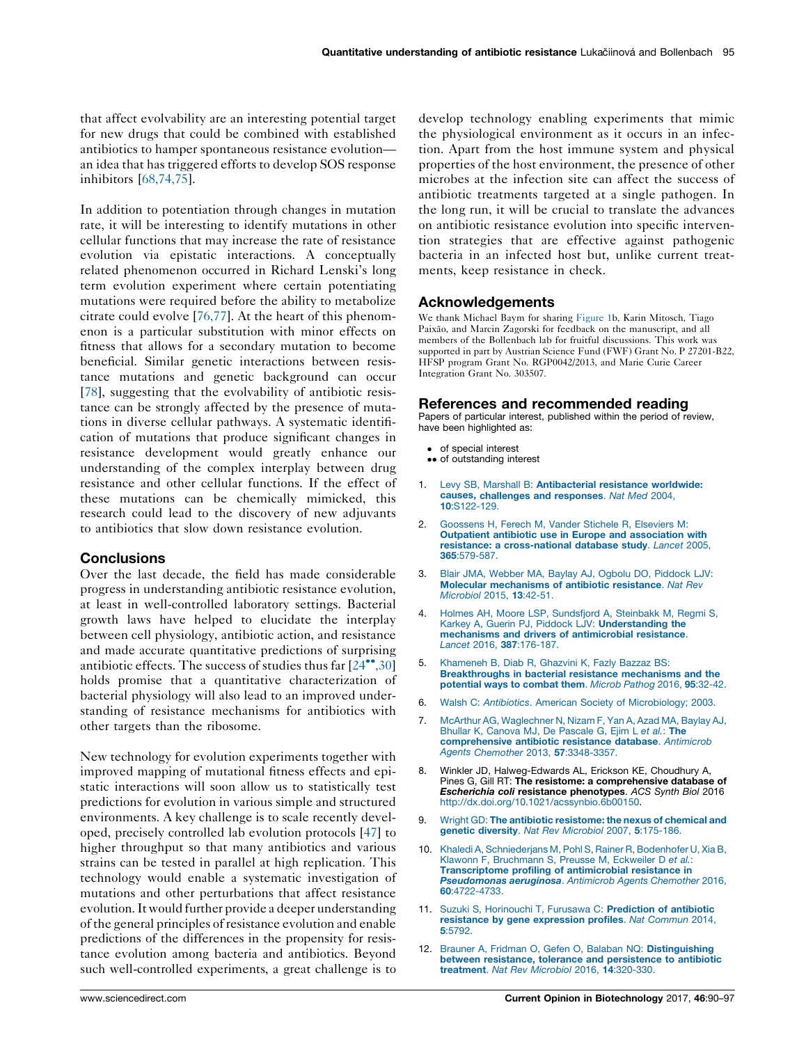<span id="page-5-0"></span>that affect evolvability are an interesting potential target for new drugs that could be combined with established antibiotics to hamper spontaneous resistance evolution an idea that has triggered efforts to develop SOS response inhibitors [\[68,74,75\]](#page-7-0).

In addition to potentiation through changes in mutation rate, it will be interesting to identify mutations in other cellular functions that may increase the rate of resistance evolution via epistatic interactions. A conceptually related phenomenon occurred in Richard Lenski's long term evolution experiment where certain potentiating mutations were required before the ability to metabolize citrate could evolve [[76,77](#page-7-0)]. At the heart of this phenomenon is a particular substitution with minor effects on fitness that allows for a secondary mutation to become beneficial. Similar genetic interactions between resistance mutations and genetic background can occur [\[78](#page-7-0)], suggesting that the evolvability of antibiotic resistance can be strongly affected by the presence of mutations in diverse cellular pathways. A systematic identification of mutations that produce significant changes in resistance development would greatly enhance our understanding of the complex interplay between drug resistance and other cellular functions. If the effect of these mutations can be chemically mimicked, this research could lead to the discovery of new adjuvants to antibiotics that slow down resistance evolution.

# **Conclusions**

Over the last decade, the field has made considerable progress in understanding antibiotic resistance evolution, at least in well-controlled laboratory settings. Bacterial growth laws have helped to elucidate the interplay between cell physiology, antibiotic action, and resistance and made accurate quantitative predictions of surprising antibiotic effects. The success of studies thus far  $[24^{\bullet\bullet},30]$  $[24^{\bullet\bullet},30]$ holds promise that a quantitative characterization of bacterial physiology will also lead to an improved understanding of resistance mechanisms for antibiotics with other targets than the ribosome.

New technology for evolution experiments together with improved mapping of mutational fitness effects and epistatic interactions will soon allow us to statistically test predictions for evolution in various simple and structured environments. A key challenge is to scale recently developed, precisely controlled lab evolution protocols [[47\]](#page-6-0) to higher throughput so that many antibiotics and various strains can be tested in parallel at high replication. This technology would enable a systematic investigation of mutations and other perturbations that affect resistance evolution.It would further provide a deeper understanding of the general principles of resistance evolution and enable predictions of the differences in the propensity for resistance evolution among bacteria and antibiotics. Beyond such well-controlled experiments, a great challenge is to

develop technology enabling experiments that mimic the physiological environment as it occurs in an infection. Apart from the host immune system and physical properties of the host environment, the presence of other microbes at the infection site can affect the success of antibiotic treatments targeted at a single pathogen. In the long run, it will be crucial to translate the advances on antibiotic resistance evolution into specific intervention strategies that are effective against pathogenic bacteria in an infected host but, unlike current treatments, keep resistance in check.

## Acknowledgements

We thank Michael Baym for sharing [Figure](#page-2-0) 1b, Karin Mitosch, Tiago Paixão, and Marcin Zagorski for feedback on the manuscript, and all members of the Bollenbach lab for fruitful discussions. This work was supported in part by Austrian Science Fund (FWF) Grant No. P 27201-B22, HFSP program Grant No. RGP0042/2013, and Marie Curie Career Integration Grant No. 303507.

## References and recommended reading

Papers of particular interest, published within the period of review, have been highlighted as:

- of special interest
- •• of outstanding interest
- 1. Levy SB, Marshall B: [Antibacterial](http://refhub.elsevier.com/S0958-1669(16)30214-2/sbref0005) resistance worldwide: causes, [challenges](http://refhub.elsevier.com/S0958-1669(16)30214-2/sbref0005) and responses. Nat Med 2004, 10[:S122-129.](http://refhub.elsevier.com/S0958-1669(16)30214-2/sbref0005)
- 2. [Goossens](http://refhub.elsevier.com/S0958-1669(16)30214-2/sbref0010) H, Ferech M, Vander Stichele R, Elseviers M: Outpatient antibiotic use in Europe and [association](http://refhub.elsevier.com/S0958-1669(16)30214-2/sbref0010) with resistance: a [cross-national](http://refhub.elsevier.com/S0958-1669(16)30214-2/sbref0010) database study. Lancet 2005, 365[:579-587.](http://refhub.elsevier.com/S0958-1669(16)30214-2/sbref0010)
- 3. Blair JMA, Webber MA, Baylay AJ, Ogbolu DO, [Piddock](http://refhub.elsevier.com/S0958-1669(16)30214-2/sbref0015) LJV: Molecular [mechanisms](http://refhub.elsevier.com/S0958-1669(16)30214-2/sbref0015) of antibiotic resistance. Nat Rev [Microbiol](http://refhub.elsevier.com/S0958-1669(16)30214-2/sbref0015) 2015, 13:42-51.
- 4. Holmes AH, Moore LSP, [Sundsfjord](http://refhub.elsevier.com/S0958-1669(16)30214-2/sbref0020) A, Steinbakk M, Regmi S, Karkey A, Guerin PJ, Piddock LJV: **[Understanding](http://refhub.elsevier.com/S0958-1669(16)30214-2/sbref0020) the** mechanisms and drivers of [antimicrobial](http://refhub.elsevier.com/S0958-1669(16)30214-2/sbref0020) resistance. Lancet 2016, 387[:176-187.](http://refhub.elsevier.com/S0958-1669(16)30214-2/sbref0020)
- 5. [Khameneh](http://refhub.elsevier.com/S0958-1669(16)30214-2/sbref0025) B, Diab R, Ghazvini K, Fazly Bazzaz BS: [Breakthroughs](http://refhub.elsevier.com/S0958-1669(16)30214-2/sbref0025) in bacterial resistance mechanisms and the [potential](http://refhub.elsevier.com/S0958-1669(16)30214-2/sbref0025) ways to combat them. Microb Pathog 2016, 95:32-42.
- 6. Walsh C: Antibiotics. American Society of [Microbiology;](http://refhub.elsevier.com/S0958-1669(16)30214-2/sbref0030) 2003.
- 7. McArthur AG, [Waglechner](http://refhub.elsevier.com/S0958-1669(16)30214-2/sbref0035) N, Nizam F, Yan A, Azad MA, Baylay AJ, Bhullar K, Canova MJ, De [Pascale](http://refhub.elsevier.com/S0958-1669(16)30214-2/sbref0035) G, Ejim L et al.: The [comprehensive](http://refhub.elsevier.com/S0958-1669(16)30214-2/sbref0035) antibiotic resistance database. Antimicrob Agents Chemother 2013, 57[:3348-3357.](http://refhub.elsevier.com/S0958-1669(16)30214-2/sbref0035)
- 8. Winkler JD, Halweg-Edwards AL, Erickson KE, Choudhury A, Pines G, Gill RT: The resistome: a comprehensive database of Escherichia coli resistance phenotypes. ACS Synth Biol 2016 [http://dx.doi.org/10.1021/acssynbio.6b00150.](http://dx.doi.org/10.1021/acssynbio.6b00150)
- Wright GD: The antibiotic [resistome:](http://refhub.elsevier.com/S0958-1669(16)30214-2/sbref0045) the nexus of chemical and genetic diversity. Nat Rev Microbiol 2007, 5[:175-186.](http://refhub.elsevier.com/S0958-1669(16)30214-2/sbref0045)
- 10. Khaledi A, [Schniederjans](http://refhub.elsevier.com/S0958-1669(16)30214-2/sbref0050) M, Pohl S, Rainer R, Bodenhofer U, Xia B, Klawonn F, [Bruchmann](http://refhub.elsevier.com/S0958-1669(16)30214-2/sbref0050) S, Preusse M, Eckweiler D et al.: [Transcriptome](http://refhub.elsevier.com/S0958-1669(16)30214-2/sbref0050) profiling of antimicrobial resistance in [Pseudomonas](http://refhub.elsevier.com/S0958-1669(16)30214-2/sbref0050) aeruginosa. Antimicrob Agents Chemother 2016, 60[:4722-4733.](http://refhub.elsevier.com/S0958-1669(16)30214-2/sbref0050)
- 11. Suzuki S, Horinouchi T, Furusawa C: [Prediction](http://refhub.elsevier.com/S0958-1669(16)30214-2/sbref0055) of antibiotic resistance by gene [expression](http://refhub.elsevier.com/S0958-1669(16)30214-2/sbref0055) profiles. Nat Commun 2014, 5[:5792.](http://refhub.elsevier.com/S0958-1669(16)30214-2/sbref0055)
- 12. Brauner A, Fridman O, Gefen O, Balaban NQ: [Distinguishing](http://refhub.elsevier.com/S0958-1669(16)30214-2/sbref0060) between resistance, tolerance and [persistence](http://refhub.elsevier.com/S0958-1669(16)30214-2/sbref0060) to antibiotic [treatment](http://refhub.elsevier.com/S0958-1669(16)30214-2/sbref0060). Nat Rev Microbiol 2016, 14:320-330.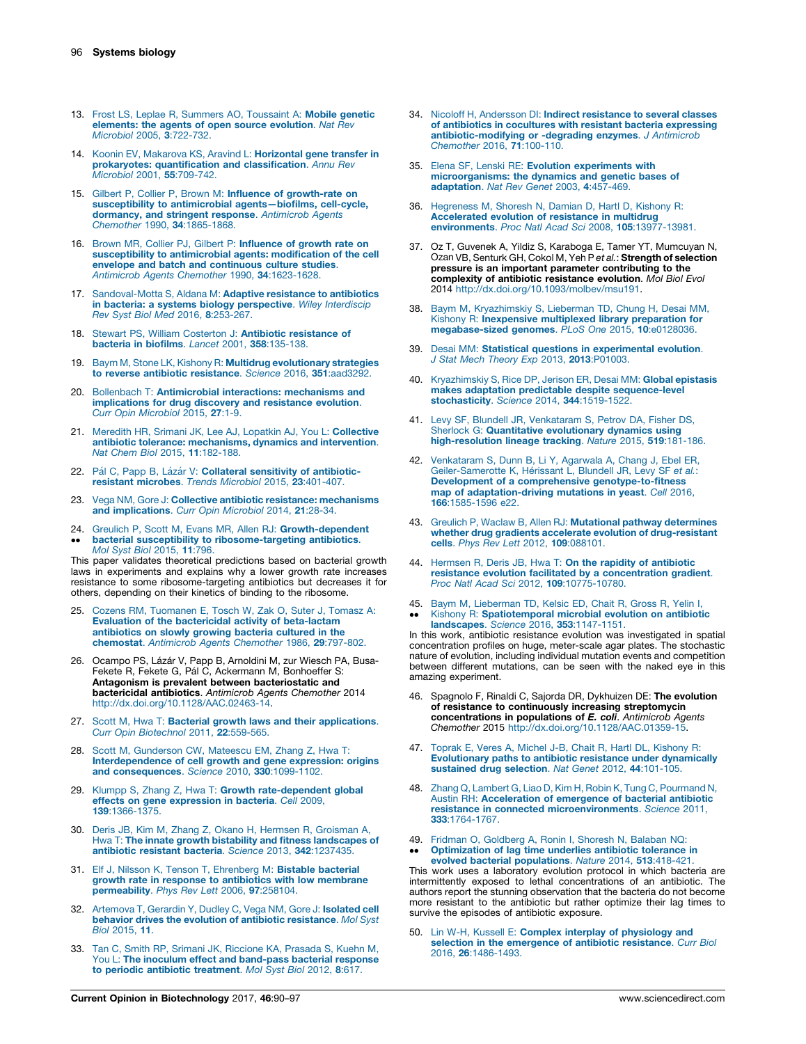- <span id="page-6-0"></span>13. Frost LS, Leplae R, Summers AO, [Toussaint](http://refhub.elsevier.com/S0958-1669(16)30214-2/sbref0065) A: Mobile genetic [elements:](http://refhub.elsevier.com/S0958-1669(16)30214-2/sbref0065) the agents of open source evolution. Nat Rev Microbiol 2005, 3[:722-732.](http://refhub.elsevier.com/S0958-1669(16)30214-2/sbref0065)
- 14. Koonin EV, Makarova KS, Aravind L: [Horizontal](http://refhub.elsevier.com/S0958-1669(16)30214-2/sbref0070) gene transfer in prokaryotes: [quantification](http://refhub.elsevier.com/S0958-1669(16)30214-2/sbref0070) and classification. Annu Rev Microbiol 2001, 55[:709-742.](http://refhub.elsevier.com/S0958-1669(16)30214-2/sbref0070)
- 15. Gilbert P, Collier P, Brown M: Influence of [growth-rate](http://refhub.elsevier.com/S0958-1669(16)30214-2/sbref0075) on susceptibility to antimicrobial [agents—biofilms,](http://refhub.elsevier.com/S0958-1669(16)30214-2/sbref0075) cell-cycle, [dormancy,](http://refhub.elsevier.com/S0958-1669(16)30214-2/sbref0075) and stringent response. Antimicrob Agents Chemother 1990, 34[:1865-1868.](http://refhub.elsevier.com/S0958-1669(16)30214-2/sbref0075)
- 16. Brown MR, Collier PJ, Gilbert P: [Influence](http://refhub.elsevier.com/S0958-1669(16)30214-2/sbref0080) of growth rate on [susceptibility](http://refhub.elsevier.com/S0958-1669(16)30214-2/sbref0080) to antimicrobial agents: modification of the cell envelope and batch and [continuous](http://refhub.elsevier.com/S0958-1669(16)30214-2/sbref0080) culture studies. Antimicrob Agents Chemother 1990, 34[:1623-1628.](http://refhub.elsevier.com/S0958-1669(16)30214-2/sbref0080)
- 17. [Sandoval-Motta](http://refhub.elsevier.com/S0958-1669(16)30214-2/sbref0085) S, Aldana M: Adaptive resistance to antibiotics in bacteria: a systems biology [perspective](http://refhub.elsevier.com/S0958-1669(16)30214-2/sbref0085). Wiley Interdiscip Rev Syst Biol Med 2016, 8[:253-267.](http://refhub.elsevier.com/S0958-1669(16)30214-2/sbref0085)
- 18. Stewart PS, William Costerton J: Antibiotic [resistance](http://refhub.elsevier.com/S0958-1669(16)30214-2/sbref0090) of bacteria in biofilms. Lancet 2001, 358[:135-138.](http://refhub.elsevier.com/S0958-1669(16)30214-2/sbref0090)
- 19. Baym M, Stone LK, Kishony R: Multidrug [evolutionary](http://refhub.elsevier.com/S0958-1669(16)30214-2/sbref0095) strategies to reverse antibiotic [resistance](http://refhub.elsevier.com/S0958-1669(16)30214-2/sbref0095). Science 2016, 351:aad3292.
- 20. Bollenbach T: [Antimicrobial](http://refhub.elsevier.com/S0958-1669(16)30214-2/sbref0100) interactions: mechanisms and [implications](http://refhub.elsevier.com/S0958-1669(16)30214-2/sbref0100) for drug discovery and resistance evolution. Curr Opin [Microbiol](http://refhub.elsevier.com/S0958-1669(16)30214-2/sbref0100) 2015, 27:1-9.
- 21. Meredith HR, Srimani JK, Lee AJ, Lopatkin AJ, You L: [Collective](http://refhub.elsevier.com/S0958-1669(16)30214-2/sbref0105) antibiotic tolerance: [mechanisms,](http://refhub.elsevier.com/S0958-1669(16)30214-2/sbref0105) dynamics and intervention. Nat Chem Biol 2015, 11[:182-188.](http://refhub.elsevier.com/S0958-1669(16)30214-2/sbref0105)
- 22. Pál C, Papp B, Lázár V: Collateral sensitivity of [antibiotic](http://refhub.elsevier.com/S0958-1669(16)30214-2/sbref0110)resistant [microbes](http://refhub.elsevier.com/S0958-1669(16)30214-2/sbref0110). Trends Microbiol 2015, 23:401-407.
- 23. Vega NM, Gore J: Collective antibiotic resistance: [mechanisms](http://refhub.elsevier.com/S0958-1669(16)30214-2/sbref0115) and [implications](http://refhub.elsevier.com/S0958-1669(16)30214-2/sbref0115). Curr Opin Microbiol 2014, 21:28-34.
- 24. Greulich P, Scott M, Evans MR, Allen RJ: [Growth-dependent](http://refhub.elsevier.com/S0958-1669(16)30214-2/sbref0120)  $\ddot{\phantom{0}}$ bacterial susceptibility to [ribosome-targeting](http://refhub.elsevier.com/S0958-1669(16)30214-2/sbref0120) antibiotics. Mol Syst Biol [2015,](http://refhub.elsevier.com/S0958-1669(16)30214-2/sbref0120) 11:796.

This paper validates theoretical predictions based on bacterial growth laws in experiments and explains why a lower growth rate increases resistance to some ribosome-targeting antibiotics but decreases it for others, depending on their kinetics of binding to the ribosome.

- 25. Cozens RM, [Tuomanen](http://refhub.elsevier.com/S0958-1669(16)30214-2/sbref0125) E, Tosch W, Zak O, Suter J, Tomasz A: Evaluation of the bactericidal activity of [beta-lactam](http://refhub.elsevier.com/S0958-1669(16)30214-2/sbref0125) [antibiotics](http://refhub.elsevier.com/S0958-1669(16)30214-2/sbref0125) on slowly growing bacteria cultured in the [chemostat](http://refhub.elsevier.com/S0958-1669(16)30214-2/sbref0125). Antimicrob Agents Chemother 1986, 29:797-802.
- 26. Ocampo PS, Lázár V, Papp B, Arnoldini M, zur Wiesch PA, Busa-Fekete R, Fekete G, Pál C, Ackermann M, Bonhoeffer S: Antagonism is prevalent between bacteriostatic and bactericidal antibiotics. Antimicrob Agents Chemother 2014 <http://dx.doi.org/10.1128/AAC.02463-14>.
- 27. Scott M, Hwa T: Bacterial growth laws and their [applications](http://refhub.elsevier.com/S0958-1669(16)30214-2/sbref0135). Curr Opin [Biotechnol](http://refhub.elsevier.com/S0958-1669(16)30214-2/sbref0135) 2011, 22:559-565.
- 28. Scott M, [Gunderson](http://refhub.elsevier.com/S0958-1669(16)30214-2/sbref0140) CW, Mateescu EM, Zhang Z, Hwa T: [Interdependence](http://refhub.elsevier.com/S0958-1669(16)30214-2/sbref0140) of cell growth and gene expression: origins and [consequences](http://refhub.elsevier.com/S0958-1669(16)30214-2/sbref0140). Science 2010, 330:1099-1102.
- 29. Klumpp S, Zhang Z, Hwa T: Growth [rate-dependent](http://refhub.elsevier.com/S0958-1669(16)30214-2/sbref0145) global effects on gene [expression](http://refhub.elsevier.com/S0958-1669(16)30214-2/sbref0145) in bacteria. Cell 2009, 139[:1366-1375.](http://refhub.elsevier.com/S0958-1669(16)30214-2/sbref0145)
- 30. Deris JB, Kim M, Zhang Z, Okano H, Hermsen R, [Groisman](http://refhub.elsevier.com/S0958-1669(16)30214-2/sbref0150) A, Hwa T: The innate growth bistability and fitness [landscapes](http://refhub.elsevier.com/S0958-1669(16)30214-2/sbref0150) of [antibiotic](http://refhub.elsevier.com/S0958-1669(16)30214-2/sbref0150) resistant bacteria. Science 2013, 342:1237435.
- 31. Elf J, Nilsson K, Tenson T, [Ehrenberg](http://refhub.elsevier.com/S0958-1669(16)30214-2/sbref0155) M: Bistable bacterial growth rate in response to antibiotics with low [membrane](http://refhub.elsevier.com/S0958-1669(16)30214-2/sbref0155) [permeability](http://refhub.elsevier.com/S0958-1669(16)30214-2/sbref0155). Phys Rev Lett 2006, 97:258104.
- 32. [Artemova](http://refhub.elsevier.com/S0958-1669(16)30214-2/sbref0160) T, Gerardin Y, Dudley C, Vega NM, Gore J: Isolated cell behavior drives the evolution of antibiotic [resistance](http://refhub.elsevier.com/S0958-1669(16)30214-2/sbref0160). Mol Syst Biol [2015,](http://refhub.elsevier.com/S0958-1669(16)30214-2/sbref0160) 11.
- 33. Tan C, Smith RP, Srimani JK, [Riccione](http://refhub.elsevier.com/S0958-1669(16)30214-2/sbref0165) KA, Prasada S, Kuehn M, You L: The inoculum effect and [band-pass](http://refhub.elsevier.com/S0958-1669(16)30214-2/sbref0165) bacterial response to periodic antibiotic [treatment](http://refhub.elsevier.com/S0958-1669(16)30214-2/sbref0165). Mol Syst Biol 2012, 8:617.
- 34. Nicoloff H, Andersson DI: Indirect [resistance](http://refhub.elsevier.com/S0958-1669(16)30214-2/sbref0170) to several classes of antibiotics in cocultures with resistant bacteria [expressing](http://refhub.elsevier.com/S0958-1669(16)30214-2/sbref0170) [antibiotic-modifying](http://refhub.elsevier.com/S0958-1669(16)30214-2/sbref0170) or -degrading enzymes. J Antimicrob [Chemother](http://refhub.elsevier.com/S0958-1669(16)30214-2/sbref0170) 2016, 71:100-110.
- 35. Elena SF, Lenski RE: Evolution [experiments](http://refhub.elsevier.com/S0958-1669(16)30214-2/sbref0175) with [microorganisms:](http://refhub.elsevier.com/S0958-1669(16)30214-2/sbref0175) the dynamics and genetic bases of [adaptation](http://refhub.elsevier.com/S0958-1669(16)30214-2/sbref0175). Nat Rev Genet 2003, 4:457-469.
- 36. [Hegreness](http://refhub.elsevier.com/S0958-1669(16)30214-2/sbref0180) M, Shoresh N, Damian D, Hartl D, Kishony R: [Accelerated](http://refhub.elsevier.com/S0958-1669(16)30214-2/sbref0180) evolution of resistance in multidrug environments. Proc Natl Acad Sci 2008, 105[:13977-13981.](http://refhub.elsevier.com/S0958-1669(16)30214-2/sbref0180)
- 37. Oz T, Guvenek A, Yildiz S, Karaboga E, Tamer YT, Mumcuyan N, Ozan VB, Senturk GH, Cokol M, Yeh P et al.: Strength of selection pressure is an important parameter contributing to the complexity of antibiotic resistance evolution. Mol Biol Evol 2014 <http://dx.doi.org/10.1093/molbev/msu191>.
- 38. Baym M, [Kryazhimskiy](http://refhub.elsevier.com/S0958-1669(16)30214-2/sbref0190) S, Lieberman TD, Chung H, Desai MM, Kishony R: [Inexpensive](http://refhub.elsevier.com/S0958-1669(16)30214-2/sbref0190) multiplexed library preparation for [megabase-sized](http://refhub.elsevier.com/S0958-1669(16)30214-2/sbref0190) genomes. PLoS One 2015, 10:e0128036.
- 39. Desai MM: Statistical questions in [experimental](http://refhub.elsevier.com/S0958-1669(16)30214-2/sbref0195) evolution. J Stat Mech Theory Exp 2013, 2013[:P01003.](http://refhub.elsevier.com/S0958-1669(16)30214-2/sbref0195)
- 40. [Kryazhimskiy](http://refhub.elsevier.com/S0958-1669(16)30214-2/sbref0200) S, Rice DP, Jerison ER, Desai MM: Global epistasis makes adaptation predictable despite [sequence-level](http://refhub.elsevier.com/S0958-1669(16)30214-2/sbref0200) [stochasticity](http://refhub.elsevier.com/S0958-1669(16)30214-2/sbref0200). Science 2014, 344:1519-1522.
- 41. Levy SF, Blundell JR, [Venkataram](http://refhub.elsevier.com/S0958-1669(16)30214-2/sbref0205) S, Petrov DA, Fisher DS, Sherlock G: Quantitative [evolutionary](http://refhub.elsevier.com/S0958-1669(16)30214-2/sbref0205) dynamics using [high-resolution](http://refhub.elsevier.com/S0958-1669(16)30214-2/sbref0205) lineage tracking. Nature 2015, 519:181-186.
- 42. [Venkataram](http://refhub.elsevier.com/S0958-1669(16)30214-2/sbref0210) S, Dunn B, Li Y, Agarwala A, Chang J, Ebel ER,<br>[Geiler-Samerotte](http://refhub.elsevier.com/S0958-1669(16)30214-2/sbref0210) K, Hérissant L, Blundell JR, Levy SF et al.: Development of a comprehensive [genotype-to-fitness](http://refhub.elsevier.com/S0958-1669(16)30214-2/sbref0210) map of [adaptation-driving](http://refhub.elsevier.com/S0958-1669(16)30214-2/sbref0210) mutations in yeast. Cell 2016, 166[:1585-1596](http://refhub.elsevier.com/S0958-1669(16)30214-2/sbref0210) e22.
- 43. Greulich P, Waclaw B, Allen RJ: Mutational pathway [determines](http://refhub.elsevier.com/S0958-1669(16)30214-2/sbref0215) whether drug gradients accelerate evolution of [drug-resistant](http://refhub.elsevier.com/S0958-1669(16)30214-2/sbref0215) cells. Phys Rev Lett 2012, 109[:088101.](http://refhub.elsevier.com/S0958-1669(16)30214-2/sbref0215)
- 44. Hermsen R, Deris JB, Hwa T: On the rapidity of [antibiotic](http://refhub.elsevier.com/S0958-1669(16)30214-2/sbref0220) resistance evolution facilitated by a [concentration](http://refhub.elsevier.com/S0958-1669(16)30214-2/sbref0220) gradient. Proc Natl Acad Sci 2012, 109[:10775-10780.](http://refhub.elsevier.com/S0958-1669(16)30214-2/sbref0220)
- 45. Baym M, [Lieberman](http://refhub.elsevier.com/S0958-1669(16)30214-2/sbref0225) TD, Kelsic ED, Chait R, Gross R, Yelin I,  $\ddot{\phantom{0}}$ Kishony R: [Spatiotemporal](http://refhub.elsevier.com/S0958-1669(16)30214-2/sbref0225) microbial evolution on antibiotic landscapes. Science 2016, 353[:1147-1151.](http://refhub.elsevier.com/S0958-1669(16)30214-2/sbref0225)

In this work, antibiotic resistance evolution was investigated in spatial concentration profiles on huge, meter-scale agar plates. The stochastic nature of evolution, including individual mutation events and competition between different mutations, can be seen with the naked eye in this amazing experiment.

- 46. Spagnolo F, Rinaldi C, Sajorda DR, Dykhuizen DE: The evolution of resistance to continuously increasing streptomycin<br>concentrations in populations of E. coli. Antimicrob Agents Chemother 2015 <http://dx.doi.org/10.1128/AAC.01359-15>.
- 47. Toprak E, Veres A, Michel J-B, Chait R, Hartl DL, [Kishony](http://refhub.elsevier.com/S0958-1669(16)30214-2/sbref0235) R: [Evolutionary](http://refhub.elsevier.com/S0958-1669(16)30214-2/sbref0235) paths to antibiotic resistance under dynamically [sustained](http://refhub.elsevier.com/S0958-1669(16)30214-2/sbref0235) drug selection. Nat Genet 2012, 44:101-105.
- 48. Zhang Q, Lambert G, Liao D, Kim H, Robin K, Tung C, [Pourmand](http://refhub.elsevier.com/S0958-1669(16)30214-2/sbref0240) N, Austin RH: [Acceleration](http://refhub.elsevier.com/S0958-1669(16)30214-2/sbref0240) of emergence of bacterial antibiotic resistance in connected [microenvironments](http://refhub.elsevier.com/S0958-1669(16)30214-2/sbref0240). Science 2011, 333[:1764-1767.](http://refhub.elsevier.com/S0958-1669(16)30214-2/sbref0240)
- 49. Fridman O, [Goldberg](http://refhub.elsevier.com/S0958-1669(16)30214-2/sbref0245) A, Ronin I, Shoresh N, Balaban NQ:
- $\bullet\bullet$ [Optimization](http://refhub.elsevier.com/S0958-1669(16)30214-2/sbref0245) of lag time underlies antibiotic tolerance in evolved bacterial [populations](http://refhub.elsevier.com/S0958-1669(16)30214-2/sbref0245). Nature 2014, 513:418-421.

This work uses a laboratory evolution protocol in which bacteria are intermittently exposed to lethal concentrations of an antibiotic. The authors report the stunning observation that the bacteria do not become more resistant to the antibiotic but rather optimize their lag times to survive the episodes of antibiotic exposure.

50. Lin W-H, Kussell E: Complex interplay of [physiology](http://refhub.elsevier.com/S0958-1669(16)30214-2/sbref0250) and selection in the [emergence](http://refhub.elsevier.com/S0958-1669(16)30214-2/sbref0250) of antibiotic resistance. Curr Biol 2016, 26[:1486-1493.](http://refhub.elsevier.com/S0958-1669(16)30214-2/sbref0250)